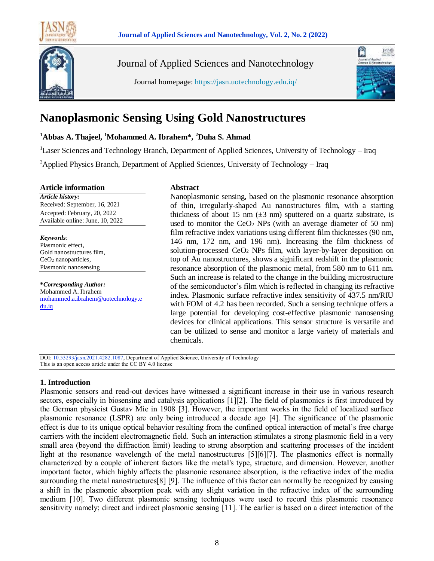



Journal of Applied Sciences and Nanotechnology

Journal homepage: https://jasn.uotechnology.edu.iq/



# **Nanoplasmonic Sensing Using Gold Nanostructures**

**<sup>1</sup>Abbas A. Thajeel, <sup>1</sup>Mohammed A. Ibrahem\*, <sup>2</sup>Duha S. Ahmad**

<sup>1</sup>Laser Sciences and Technology Branch, Department of Applied Sciences, University of Technology - Iraq

<sup>2</sup>Applied Physics Branch, Department of Applied Sciences, University of Technology – Iraq

#### **Article information**

*Article history:* Received: September, 16, 2021 Accepted: February, 20, 2022 Available online: June, 10, 2022

*Keywords*: Plasmonic effect, Gold nanostructures film, CeO<sup>2</sup> nanoparticles, Plasmonic nanosensing

**\****Corresponding Author:* Mohammed A. Ibrahem [mohammed.a.ibrahem@uotechnology.e](mailto:email@domain.com) [du.iq](mailto:email@domain.com)

# **Abstract**

Nanoplasmonic sensing, based on the plasmonic resonance absorption of thin, irregularly-shaped Au nanostructures film, with a starting thickness of about 15 nm  $(\pm 3 \text{ nm})$  sputtered on a quartz substrate, is used to monitor the  $CeO<sub>2</sub>$  NPs (with an average diameter of 50 nm) film refractive index variations using different film thicknesses (90 nm, 146 nm, 172 nm, and 196 nm). Increasing the film thickness of solution-processed  $CeO<sub>2</sub>$  NPs film, with layer-by-layer deposition on top of Au nanostructures, shows a significant redshift in the plasmonic resonance absorption of the plasmonic metal, from 580 nm to 611 nm. Such an increase is related to the change in the building microstructure of the semiconductor's film which is reflected in changing its refractive index. Plasmonic surface refractive index sensitivity of 437.5 nm/RIU with FOM of 4.2 has been recorded. Such a sensing technique offers a large potential for developing cost-effective plasmonic nanosensing devices for clinical applications. This sensor structure is versatile and can be utilized to sense and monitor a large variety of materials and chemicals.

DOI: 10.53293/jasn.2021.4282.1087, Department of Applied Science, University of Technology This is an open access article under the CC BY 4.0 license

# **1. Introduction**

Plasmonic sensors and read-out devices have witnessed a significant increase in their use in various research sectors, especially in biosensing and catalysis applications [1][2]. The field of plasmonics is first introduced by the German physicist Gustav Mie in 1908 [3]. However, the important works in the field of localized surface plasmonic resonance (LSPR) are only being introduced a decade ago [4]. The significance of the plasmonic effect is due to its unique optical behavior resulting from the confined optical interaction of metal's free charge carriers with the incident electromagnetic field. Such an interaction stimulates a strong plasmonic field in a very small area (beyond the diffraction limit) leading to strong absorption and scattering processes of the incident light at the resonance wavelength of the metal nanostructures [5][6][7]. The plasmonics effect is normally characterized by a couple of inherent factors like the metal's type, structure, and dimension. However, another important factor, which highly affects the plasmonic resonance absorption, is the refractive index of the media surrounding the metal nanostructures[8] [9]. The influence of this factor can normally be recognized by causing a shift in the plasmonic absorption peak with any slight variation in the refractive index of the surrounding medium [10]. Two different plasmonic sensing techniques were used to record this plasmonic resonance sensitivity namely; direct and indirect plasmonic sensing [11]. The earlier is based on a direct interaction of the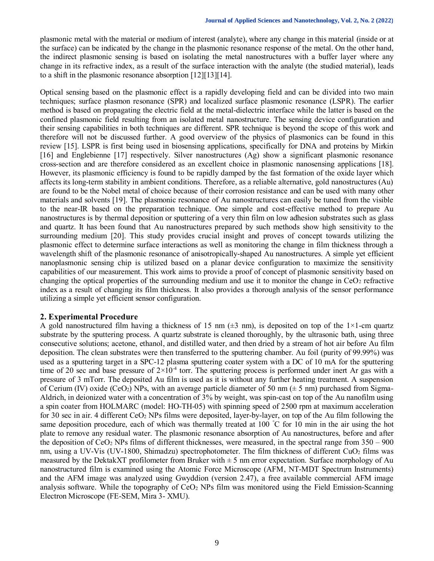plasmonic metal with the material or medium of interest (analyte), where any change in this material (inside or at the surface) can be indicated by the change in the plasmonic resonance response of the metal. On the other hand, the indirect plasmonic sensing is based on isolating the metal nanostructures with a buffer layer where any change in its refractive index, as a result of the surface interaction with the analyte (the studied material), leads to a shift in the plasmonic resonance absorption [12][13][14].

Optical sensing based on the plasmonic effect is a rapidly developing field and can be divided into two main techniques; surface plasmon resonance (SPR) and localized surface plasmonic resonance (LSPR). The earlier method is based on propagating the electric field at the metal-dielectric interface while the latter is based on the confined plasmonic field resulting from an isolated metal nanostructure. The sensing device configuration and their sensing capabilities in both techniques are different. SPR technique is beyond the scope of this work and therefore will not be discussed further. A good overview of the physics of plasmonics can be found in this review [15]. LSPR is first being used in biosensing applications, specifically for DNA and proteins by Mirkin [16] and Englebienne [17] respectively. Silver nanostructures (Ag) show a significant plasmonic resonance cross-section and are therefore considered as an excellent choice in plasmonic nanosensing applications [18]. However, its plasmonic efficiency is found to be rapidly damped by the fast formation of the oxide layer which affects its long-term stability in ambient conditions. Therefore, as a reliable alternative, gold nanostructures (Au) are found to be the Nobel metal of choice because of their corrosion resistance and can be used with many other materials and solvents [19]. The plasmonic resonance of Au nanostructures can easily be tuned from the visible to the near-IR based on the preparation technique. One simple and cost-effective method to prepare Au nanostructures is by thermal deposition or sputtering of a very thin film on low adhesion substrates such as glass and quartz. It has been found that Au nanostructures prepared by such methods show high sensitivity to the surrounding medium [20]. This study provides crucial insight and proves of concept towards utilizing the plasmonic effect to determine surface interactions as well as monitoring the change in film thickness through a wavelength shift of the plasmonic resonance of anisotropically-shaped Au nanostructures. A simple yet efficient nanoplasmonic sensing chip is utilized based on a planar device configuration to maximize the sensitivity capabilities of our measurement. This work aims to provide a proof of concept of plasmonic sensitivity based on changing the optical properties of the surrounding medium and use it to monitor the change in  $CeO<sub>2</sub>$  refractive index as a result of changing its film thickness. It also provides a thorough analysis of the sensor performance utilizing a simple yet efficient sensor configuration.

# **2. Experimental Procedure**

A gold nanostructured film having a thickness of 15 nm ( $\pm$ 3 nm), is deposited on top of the 1×1-cm quartz substrate by the sputtering process. A quartz substrate is cleaned thoroughly, by the ultrasonic bath, using three consecutive solutions; acetone, ethanol, and distilled water, and then dried by a stream of hot air before Au film deposition. The clean substrates were then transferred to the sputtering chamber. Au foil (purity of 99.99%) was used as a sputtering target in a SPC-12 plasma sputtering coater system with a DC of 10 mA for the sputtering time of 20 sec and base pressure of  $2\times10^{-4}$  torr. The sputtering process is performed under inert Ar gas with a pressure of 3 mTorr. The deposited Au film is used as it is without any further heating treatment. A suspension of Cerium (IV) oxide (CeO<sub>2</sub>) NPs, with an average particle diameter of 50 nm ( $\pm$  5 nm) purchased from Sigma-Aldrich, in deionized water with a concentration of 3% by weight, was spin-cast on top of the Au nanofilm using a spin coater from HOLMARC (model: HO-TH-05) with spinning speed of 2500 rpm at maximum acceleration for 30 sec in air. 4 different CeO<sup>2</sup> NPs films were deposited, layer-by-layer, on top of the Au film following the same deposition procedure, each of which was thermally treated at 100  $\degree$ C for 10 min in the air using the hot plate to remove any residual water. The plasmonic resonance absorption of Au nanostructures, before and after the deposition of  $CeO<sub>2</sub>$  NPs films of different thicknesses, were measured, in the spectral range from  $350 - 900$ nm, using a UV-Vis (UV-1800, Shimadzu) spectrophotometer. The film thickness of different CuO<sub>2</sub> films was measured by the DektakXT profilometer from Bruker with  $\pm$  5 nm error expectation. Surface morphology of Au nanostructured film is examined using the Atomic Force Microscope (AFM, NT-MDT Spectrum Instruments) and the AFM image was analyzed using Gwyddion (version 2.47), a free available commercial AFM image analysis software. While the topography of  $CeO<sub>2</sub>$  NPs film was monitored using the Field Emission-Scanning Electron Microscope (FE-SEM, Mira 3- XMU).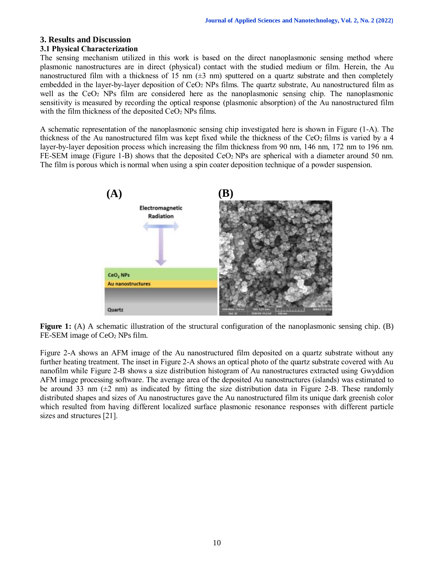# **3. Results and Discussion**

# **3.1 Physical Characterization**

The sensing mechanism utilized in this work is based on the direct nanoplasmonic sensing method where plasmonic nanostructures are in direct (physical) contact with the studied medium or film. Herein, the Au nanostructured film with a thickness of 15 nm  $(\pm 3 \text{ nm})$  sputtered on a quartz substrate and then completely embedded in the layer-by-layer deposition of CeO<sup>2</sup> NPs films. The quartz substrate, Au nanostructured film as well as the CeO<sub>2</sub> NPs film are considered here as the nanoplasmonic sensing chip. The nanoplasmonic sensitivity is measured by recording the optical response (plasmonic absorption) of the Au nanostructured film with the film thickness of the deposited  $CeO<sub>2</sub>$  NPs films.

A schematic representation of the nanoplasmonic sensing chip investigated here is shown in Figure (1-A). The thickness of the Au nanostructured film was kept fixed while the thickness of the  $CeO<sub>2</sub>$  films is varied by a 4 layer-by-layer deposition process which increasing the film thickness from 90 nm, 146 nm, 172 nm to 196 nm. FE-SEM image (Figure 1-B) shows that the deposited CeO<sub>2</sub> NPs are spherical with a diameter around 50 nm. The film is porous which is normal when using a spin coater deposition technique of a powder suspension.



**Figure 1:** (A) A schematic illustration of the structural configuration of the nanoplasmonic sensing chip. (B) FE-SEM image of CeO<sub>2</sub> NPs film.

Figure 2-A shows an AFM image of the Au nanostructured film deposited on a quartz substrate without any further heating treatment. The inset in Figure 2-A shows an optical photo of the quartz substrate covered with Au nanofilm while Figure 2-B shows a size distribution histogram of Au nanostructures extracted using Gwyddion AFM image processing software. The average area of the deposited Au nanostructures (islands) was estimated to be around 33 nm  $(\pm 2 \text{ nm})$  as indicated by fitting the size distribution data in Figure 2-B. These randomly distributed shapes and sizes of Au nanostructures gave the Au nanostructured film its unique dark greenish color which resulted from having different localized surface plasmonic resonance responses with different particle sizes and structures [21].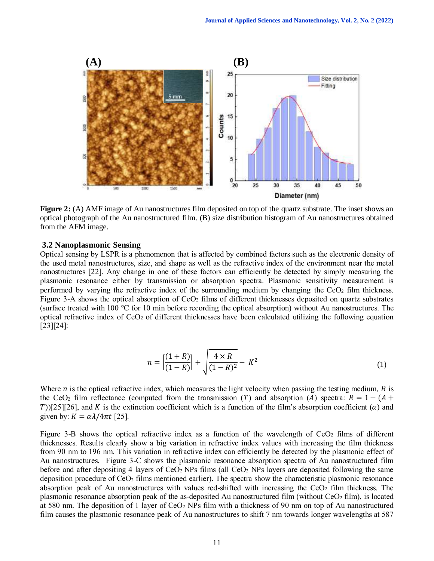

**Figure 2:** (A) AMF image of Au nanostructures film deposited on top of the quartz substrate. The inset shows an optical photograph of the Au nanostructured film. (B) size distribution histogram of Au nanostructures obtained from the AFM image.

#### **3.2 Nanoplasmonic Sensing**

Optical sensing by LSPR is a phenomenon that is affected by combined factors such as the electronic density of the used metal nanostructures, size, and shape as well as the refractive index of the environment near the metal nanostructures [22]. Any change in one of these factors can efficiently be detected by simply measuring the plasmonic resonance either by transmission or absorption spectra. Plasmonic sensitivity measurement is performed by varying the refractive index of the surrounding medium by changing the  $CeO<sub>2</sub>$  film thickness. Figure 3-A shows the optical absorption of  $CeO<sub>2</sub>$  films of different thicknesses deposited on quartz substrates (surface treated with 100 °C for 10 min before recording the optical absorption) without Au nanostructures. The optical refractive index of CeO<sup>2</sup> of different thicknesses have been calculated utilizing the following equation [23][24]:

$$
n = \left[\frac{(1+R)}{(1-R)}\right] + \sqrt{\frac{4 \times R}{(1-R)^2}} - K^2
$$
 (1)

Where  $n$  is the optical refractive index, which measures the light velocity when passing the testing medium,  $R$  is the CeO<sub>2</sub> film reflectance (computed from the transmission (T) and absorption (A) spectra:  $R = 1 - (A +$ T))[25][26], and K is the extinction coefficient which is a function of the film's absorption coefficient ( $\alpha$ ) and given by:  $K = \alpha \lambda / 4 \pi t$  [25].

Figure 3-B shows the optical refractive index as a function of the wavelength of  $CeO<sub>2</sub>$  films of different thicknesses. Results clearly show a big variation in refractive index values with increasing the film thickness from 90 nm to 196 nm. This variation in refractive index can efficiently be detected by the plasmonic effect of Au nanostructures. Figure 3-C shows the plasmonic resonance absorption spectra of Au nanostructured film before and after depositing 4 layers of  $CeO<sub>2</sub>$  NPs films (all  $CeO<sub>2</sub>$  NPs layers are deposited following the same deposition procedure of  $CeO<sub>2</sub>$  films mentioned earlier). The spectra show the characteristic plasmonic resonance absorption peak of Au nanostructures with values red-shifted with increasing the  $CeO<sub>2</sub>$  film thickness. The plasmonic resonance absorption peak of the as-deposited Au nanostructured film (without CeO<sup>2</sup> film), is located at 580 nm. The deposition of 1 layer of  $CeO<sub>2</sub>$  NPs film with a thickness of 90 nm on top of Au nanostructured film causes the plasmonic resonance peak of Au nanostructures to shift 7 nm towards longer wavelengths at 587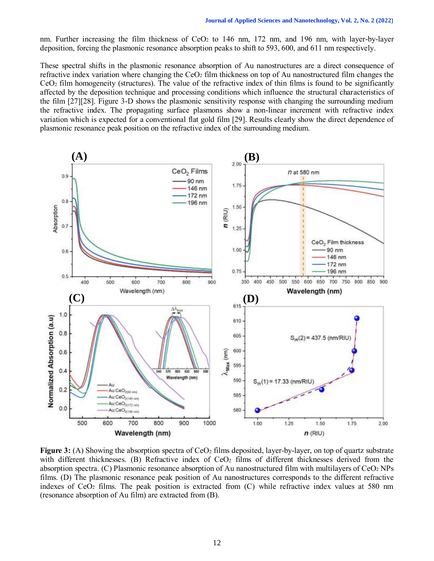nm. Further increasing the film thickness of CeO<sub>2</sub> to 146 nm, 172 nm, and 196 nm, with layer-by-layer deposition, forcing the plasmonic resonance absorption peaks to shift to 593, 600, and 611 nm respectively.

These spectral shifts in the plasmonic resonance absorption of Au nanostructures are a direct consequence of refractive index variation where changing the CeO<sup>2</sup> film thickness on top of Au nanostructured film changes the  $CeO<sub>2</sub>$  film homogeneity (structures). The value of the refractive index of thin films is found to be significantly affected by the deposition technique and processing conditions which influence the structural characteristics of the film [27][28]. Figure 3-D shows the plasmonic sensitivity response with changing the surrounding medium the refractive index. The propagating surface plasmons show a non-linear increment with refractive index variation which is expected for a conventional flat gold film [29]. Results clearly show the direct dependence of plasmonic resonance peak position on the refractive index of the surrounding medium.



**Figure 3:** (A) Showing the absorption spectra of CeO<sub>2</sub> films deposited, layer-by-layer, on top of quartz substrate with different thicknesses. (B) Refractive index of  $CeO<sub>2</sub>$  films of different thicknesses derived from the absorption spectra. (C) Plasmonic resonance absorption of Au nanostructured film with multilayers of  $CeO<sub>2</sub> NPs$ films. (D) The plasmonic resonance peak position of Au nanostructures corresponds to the different refractive indexes of  $CeO<sub>2</sub>$  films. The peak position is extracted from  $(C)$  while refractive index values at 580 nm (resonance absorption of Au film) are extracted from (B).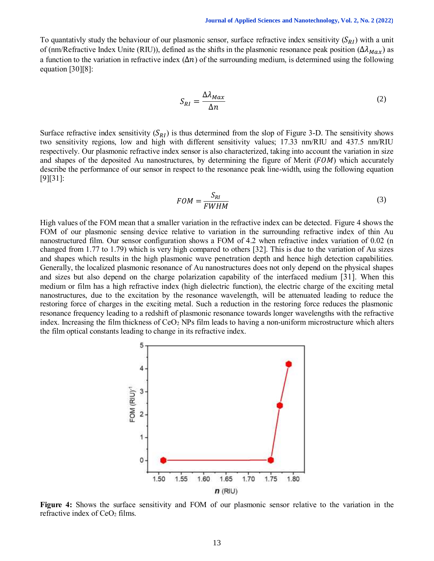To quantativly study the behaviour of our plasmonic sensor, surface refractive index sensitivity  $(S_{RI})$  with a unit of (nm/Refractive Index Unite (RIU)), defined as the shifts in the plasmonic resonance peak position ( $\Delta\lambda_{Max}$ ) as a function to the variation in refractive index  $(\Delta n)$  of the surrounding medium, is determined using the following equation [30][8]:

$$
S_{RI} = \frac{\Delta \lambda_{Max}}{\Delta n} \tag{2}
$$

Surface refractive index sensitivity  $(S_{RI})$  is thus determined from the slop of Figure 3-D. The sensitivity shows two sensitivity regions, low and high with different sensitivity values; 17.33 nm/RIU and 437.5 nm/RIU respectively. Our plasmonic refractive index sensor is also characterized, taking into account the variation in size and shapes of the deposited Au nanostructures, by determining the figure of Merit  $(FOM)$  which accurately describe the performance of our sensor in respect to the resonance peak line-width, using the following equation [9][31]:

$$
FOM = \frac{S_{RI}}{FWHM} \tag{3}
$$

High values of the FOM mean that a smaller variation in the refractive index can be detected. Figure 4 shows the FOM of our plasmonic sensing device relative to variation in the surrounding refractive index of thin Au nanostructured film. Our sensor configuration shows a FOM of 4.2 when refractive index variation of 0.02 (n changed from 1.77 to 1.79) which is very high compared to others [32]. This is due to the variation of Au sizes and shapes which results in the high plasmonic wave penetration depth and hence high detection capabilities. Generally, the localized plasmonic resonance of Au nanostructures does not only depend on the physical shapes and sizes but also depend on the charge polarization capability of the interfaced medium [31]. When this medium or film has a high refractive index (high dielectric function), the electric charge of the exciting metal nanostructures, due to the excitation by the resonance wavelength, will be attenuated leading to reduce the restoring force of charges in the exciting metal. Such a reduction in the restoring force reduces the plasmonic resonance frequency leading to a redshift of plasmonic resonance towards longer wavelengths with the refractive index. Increasing the film thickness of  $CeO<sub>2</sub>$  NPs film leads to having a non-uniform microstructure which alters the film optical constants leading to change in its refractive index.



**Figure 4:** Shows the surface sensitivity and FOM of our plasmonic sensor relative to the variation in the refractive index of CeO<sub>2</sub> films.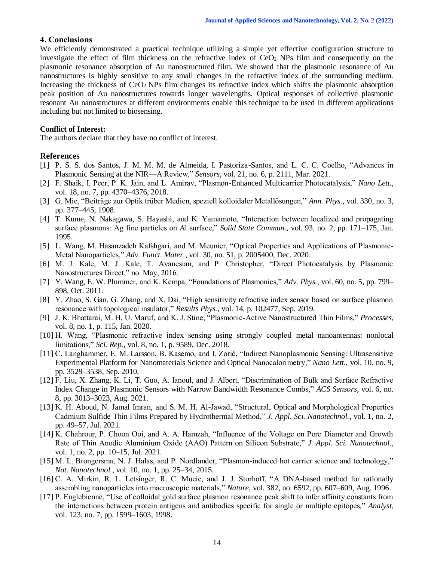# **4. Conclusions**

We efficiently demonstrated a practical technique utilizing a simple yet effective configuration structure to investigate the effect of film thickness on the refractive index of CeO<sup>2</sup> NPs film and consequently on the plasmonic resonance absorption of Au nanostructured film. We showed that the plasmonic resonance of Au nanostructures is highly sensitive to any small changes in the refractive index of the surrounding medium. Increasing the thickness of  $CeO<sub>2</sub>$  NPs film changes its refractive index which shifts the plasmonic absorption peak position of Au nanostructures towards longer wavelengths. Optical responses of collective plasmonic resonant Au nanostructures at different environments enable this technique to be used in different applications including but not limited to biosensing.

#### **Conflict of Interest:**

The authors declare that they have no conflict of interest.

# **References**

- [1] P. S. S. dos Santos, J. M. M. M. de Almeida, I. Pastoriza-Santos, and L. C. C. Coelho, "Advances in Plasmonic Sensing at the NIR—A Review," *Sensors*, vol. 21, no. 6, p. 2111, Mar. 2021.
- [2] F. Shaik, I. Peer, P. K. Jain, and L. Amirav, "Plasmon-Enhanced Multicarrier Photocatalysis," *Nano Lett.*, vol. 18, no. 7, pp. 4370–4376, 2018.
- [3] G. Mie, "Beiträge zur Optik trüber Medien, speziell kolloidaler Metallösungen," *Ann. Phys.*, vol. 330, no. 3, pp. 377–445, 1908.
- [4] T. Kume, N. Nakagawa, S. Hayashi, and K. Yamamoto, "Interaction between localized and propagating surface plasmons: Ag fine particles on Al surface," *Solid State Commun.*, vol. 93, no. 2, pp. 171–175, Jan. 1995.
- [5] L. Wang, M. Hasanzadeh Kafshgari, and M. Meunier, "Optical Properties and Applications of Plasmonic-Metal Nanoparticles," *Adv. Funct. Mater.*, vol. 30, no. 51, p. 2005400, Dec. 2020.
- [6] M. J. Kale, M. J. Kale, T. Avanesian, and P. Christopher, "Direct Photocatalysis by Plasmonic Nanostructures Direct," no. May, 2016.
- [7] Y. Wang, E. W. Plummer, and K. Kempa, "Foundations of Plasmonics," *Adv. Phys.*, vol. 60, no. 5, pp. 799– 898, Oct. 2011.
- [8] Y. Zhao, S. Gan, G. Zhang, and X. Dai, "High sensitivity refractive index sensor based on surface plasmon resonance with topological insulator," *Results Phys.*, vol. 14, p. 102477, Sep. 2019.
- [9] J. K. Bhattarai, M. H. U. Maruf, and K. J. Stine, "Plasmonic-Active Nanostructured Thin Films," *Processes*, vol. 8, no. 1, p. 115, Jan. 2020.
- [10] H. Wang, "Plasmonic refractive index sensing using strongly coupled metal nanoantennas: nonlocal limitations," *Sci. Rep.*, vol. 8, no. 1, p. 9589, Dec. 2018.
- [11] C. Langhammer, E. M. Larsson, B. Kasemo, and I. Zorić, "Indirect Nanoplasmonic Sensing: Ultrasensitive Experimental Platform for Nanomaterials Science and Optical Nanocalorimetry," *Nano Lett.*, vol. 10, no. 9, pp. 3529–3538, Sep. 2010.
- [12] F. Liu, X. Zhang, K. Li, T. Guo, A. Ianoul, and J. Albert, "Discrimination of Bulk and Surface Refractive Index Change in Plasmonic Sensors with Narrow Bandwidth Resonance Combs," *ACS Sensors*, vol. 6, no. 8, pp. 3013–3023, Aug. 2021.
- [13] K. H. Aboud, N. Jamal Imran, and S. M. H. Al-Jawad, "Structural, Optical and Morphological Properties Cadmium Sulfide Thin Films Prepared by Hydrothermal Method," *J. Appl. Sci. Nanotechnol.*, vol. 1, no. 2, pp. 49–57, Jul. 2021.
- [14] K. Chahrour, P. Choon Ooi, and A. A. Hamzah, "Influence of the Voltage on Pore Diameter and Growth Rate of Thin Anodic Aluminium Oxide (AAO) Pattern on Silicon Substrate," *J. Appl. Sci. Nanotechnol.*, vol. 1, no. 2, pp. 10–15, Jul. 2021.
- [15] M. L. Brongersma, N. J. Halas, and P. Nordlander, "Plasmon-induced hot carrier science and technology," *Nat. Nanotechnol.*, vol. 10, no. 1, pp. 25–34, 2015.
- [16] C. A. Mirkin, R. L. Letsinger, R. C. Mucic, and J. J. Storhoff, "A DNA-based method for rationally assembling nanoparticles into macroscopic materials," *Nature*, vol. 382, no. 6592, pp. 607–609, Aug. 1996.
- [17] P. Englebienne, "Use of colloidal gold surface plasmon resonance peak shift to infer affinity constants from the interactions between protein antigens and antibodies specific for single or multiple epitopes," *Analyst*, vol. 123, no. 7, pp. 1599–1603, 1998.